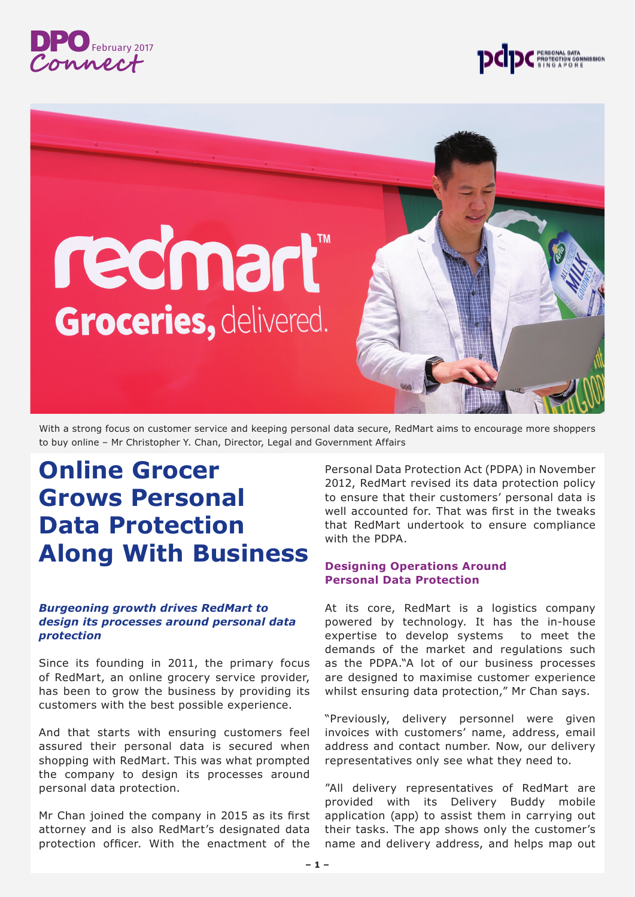



# redmart **Groceries, delivered.**

With a strong focus on customer service and keeping personal data secure, RedMart aims to encourage more shoppers to buy online – Mr Christopher Y. Chan, Director, Legal and Government Affairs

## **Online Grocer Grows Personal Data Protection Along With Business**

#### *Burgeoning growth drives RedMart to design its processes around personal data protection*

Since its founding in 2011, the primary focus of RedMart, an online grocery service provider, has been to grow the business by providing its customers with the best possible experience.

And that starts with ensuring customers feel assured their personal data is secured when shopping with RedMart. This was what prompted the company to design its processes around personal data protection.

Mr Chan joined the company in 2015 as its first attorney and is also RedMart's designated data protection officer. With the enactment of the Personal Data Protection Act (PDPA) in November 2012, RedMart revised its data protection policy to ensure that their customers' personal data is well accounted for. That was first in the tweaks that RedMart undertook to ensure compliance with the PDPA.

#### **Designing Operations Around Personal Data Protection**

At its core, RedMart is a logistics company powered by technology. It has the in-house expertise to develop systems to meet the demands of the market and regulations such as the PDPA."A lot of our business processes are designed to maximise customer experience whilst ensuring data protection," Mr Chan says.

"Previously, delivery personnel were given invoices with customers' name, address, email address and contact number. Now, our delivery representatives only see what they need to.

"All delivery representatives of RedMart are provided with its Delivery Buddy mobile application (app) to assist them in carrying out their tasks. The app shows only the customer's name and delivery address, and helps map out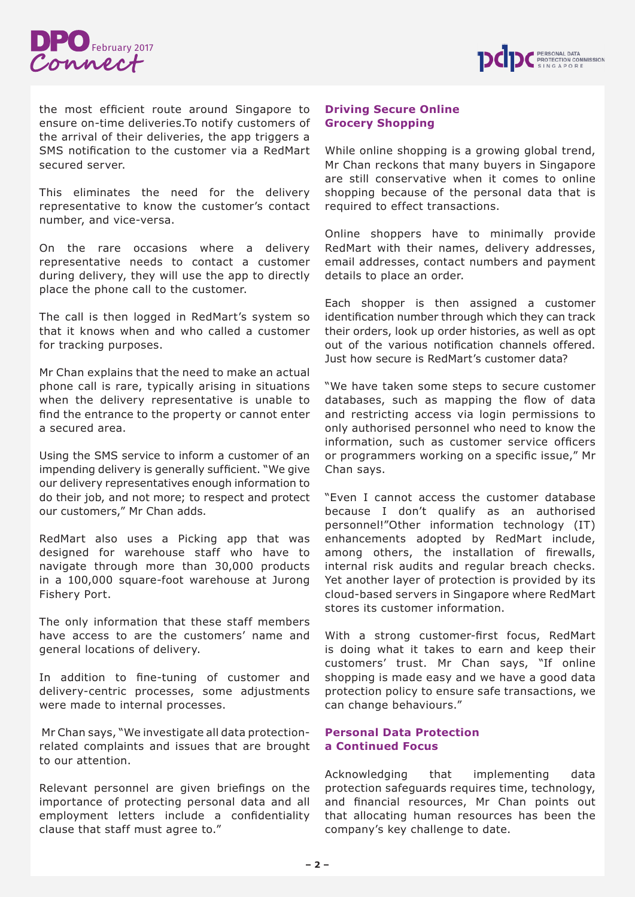



the most efficient route around Singapore to ensure on-time deliveries.To notify customers of the arrival of their deliveries, the app triggers a SMS notification to the customer via a RedMart secured server.

This eliminates the need for the delivery representative to know the customer's contact number, and vice-versa.

On the rare occasions where a delivery representative needs to contact a customer during delivery, they will use the app to directly place the phone call to the customer.

The call is then logged in RedMart's system so that it knows when and who called a customer for tracking purposes.

Mr Chan explains that the need to make an actual phone call is rare, typically arising in situations when the delivery representative is unable to find the entrance to the property or cannot enter a secured area.

Using the SMS service to inform a customer of an impending delivery is generally sufficient. "We give our delivery representatives enough information to do their job, and not more; to respect and protect our customers," Mr Chan adds.

RedMart also uses a Picking app that was designed for warehouse staff who have to navigate through more than 30,000 products in a 100,000 square-foot warehouse at Jurong Fishery Port.

The only information that these staff members have access to are the customers' name and general locations of delivery.

In addition to fine-tuning of customer and delivery-centric processes, some adjustments were made to internal processes.

 Mr Chan says, "We investigate all data protectionrelated complaints and issues that are brought to our attention.

Relevant personnel are given briefings on the importance of protecting personal data and all employment letters include a confidentiality clause that staff must agree to."

#### **Driving Secure Online Grocery Shopping**

While online shopping is a growing global trend, Mr Chan reckons that many buyers in Singapore are still conservative when it comes to online shopping because of the personal data that is required to effect transactions.

Online shoppers have to minimally provide RedMart with their names, delivery addresses, email addresses, contact numbers and payment details to place an order.

Each shopper is then assigned a customer identification number through which they can track their orders, look up order histories, as well as opt out of the various notification channels offered. Just how secure is RedMart's customer data?

"We have taken some steps to secure customer databases, such as mapping the flow of data and restricting access via login permissions to only authorised personnel who need to know the information, such as customer service officers or programmers working on a specific issue," Mr Chan says.

"Even I cannot access the customer database because I don't qualify as an authorised personnel!"Other information technology (IT) enhancements adopted by RedMart include, among others, the installation of firewalls, internal risk audits and regular breach checks. Yet another layer of protection is provided by its cloud-based servers in Singapore where RedMart stores its customer information.

With a strong customer-first focus, RedMart is doing what it takes to earn and keep their customers' trust. Mr Chan says, "If online shopping is made easy and we have a good data protection policy to ensure safe transactions, we can change behaviours."

#### **Personal Data Protection a Continued Focus**

Acknowledging that implementing data protection safeguards requires time, technology, and financial resources, Mr Chan points out that allocating human resources has been the company's key challenge to date.